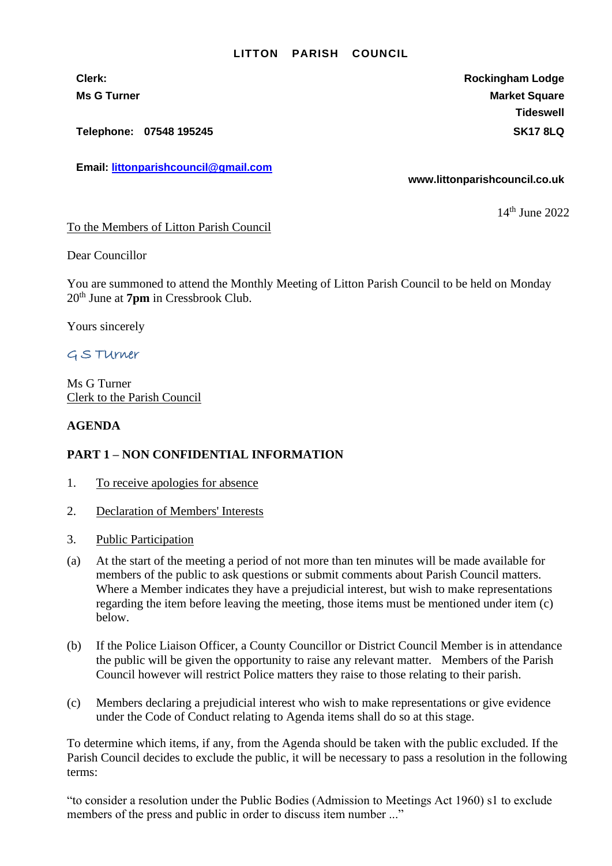## **LITTON PARISH COUNCIL**

**Telephone: 07548 195245 SK17 8LQ**

**Email: [littonparishcouncil@gmail.com](mailto:littonparishcouncil@gmail.com)**

**Clerk: Rockingham Lodge Ms G Turner Market Square** Market Square Market Square Market Square **Tideswell**

**www.littonparishcouncil.co.uk**

14th June 2022

## To the Members of Litton Parish Council

Dear Councillor

You are summoned to attend the Monthly Meeting of Litton Parish Council to be held on Monday 20th June at **7pm** in Cressbrook Club.

Yours sincerely

# G S TUrner

Ms G Turner Clerk to the Parish Council

# **AGENDA**

# **PART 1 – NON CONFIDENTIAL INFORMATION**

- 1. To receive apologies for absence
- 2. Declaration of Members' Interests
- 3. Public Participation
- (a) At the start of the meeting a period of not more than ten minutes will be made available for members of the public to ask questions or submit comments about Parish Council matters. Where a Member indicates they have a prejudicial interest, but wish to make representations regarding the item before leaving the meeting, those items must be mentioned under item (c) below.
- (b) If the Police Liaison Officer, a County Councillor or District Council Member is in attendance the public will be given the opportunity to raise any relevant matter. Members of the Parish Council however will restrict Police matters they raise to those relating to their parish.
- (c) Members declaring a prejudicial interest who wish to make representations or give evidence under the Code of Conduct relating to Agenda items shall do so at this stage.

To determine which items, if any, from the Agenda should be taken with the public excluded. If the Parish Council decides to exclude the public, it will be necessary to pass a resolution in the following terms:

"to consider a resolution under the Public Bodies (Admission to Meetings Act 1960) s1 to exclude members of the press and public in order to discuss item number ..."